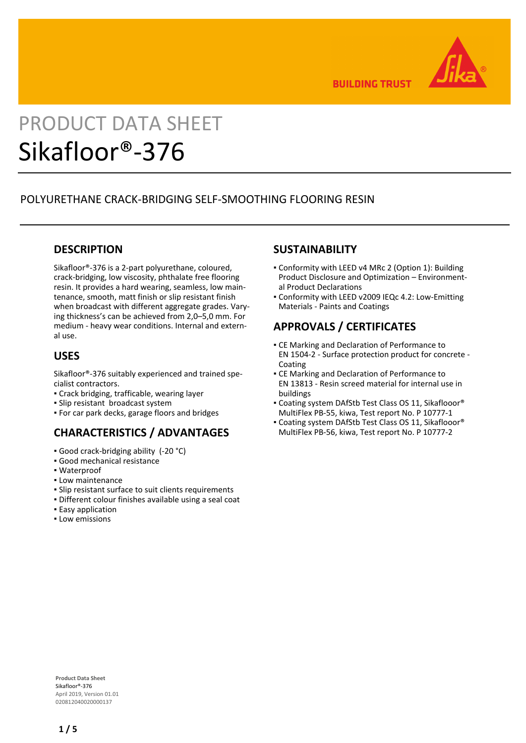

**BUILDING TRUST** 

# PRODUCT DATA SHEET Sikafloor®-376

# POLYURETHANE CRACK-BRIDGING SELF-SMOOTHING FLOORING RESIN

# **DESCRIPTION**

Sikafloor®-376 is a 2-part polyurethane, coloured, crack-bridging, low viscosity, phthalate free flooring resin. It provides a hard wearing, seamless, low maintenance, smooth, matt finish or slip resistant finish when broadcast with different aggregate grades. Varying thickness's can be achieved from 2,0–5,0 mm. For medium - heavy wear conditions. Internal and external use.

### **USES**

Sikafloor®-376 suitably experienced and trained specialist contractors.

- Crack bridging, trafficable, wearing layer
- Slip resistant broadcast system
- For car park decks, garage floors and bridges

# **CHARACTERISTICS / ADVANTAGES**

- Good crack-bridging ability (-20 °C)
- Good mechanical resistance
- Waterproof
- **.** Low maintenance
- Slip resistant surface to suit clients requirements
- Different colour finishes available using a seal coat
- **Easy application**
- Low emissions

# **SUSTAINABILITY**

- Conformity with LEED v4 MRc 2 (Option 1): Building Product Disclosure and Optimization – Environmental Product Declarations
- Conformity with LEED v2009 IEQc 4.2: Low-Emitting Materials - Paints and Coatings

# **APPROVALS / CERTIFICATES**

- **CE Marking and Declaration of Performance to** EN 1504-2 - Surface protection product for concrete - Coating
- **CE Marking and Declaration of Performance to** EN 13813 - Resin screed material for internal use in buildings
- Coating system DAfStb Test Class OS 11, Sikaflooor® MultiFlex PB-55, kiwa, Test report No. P 10777-1
- Coating system DAfStb Test Class OS 11, Sikaflooor® MultiFlex PB-56, kiwa, Test report No. P 10777-2

**Product Data Sheet** Sikafloor®-376 April 2019, Version 01.01 020812040020000137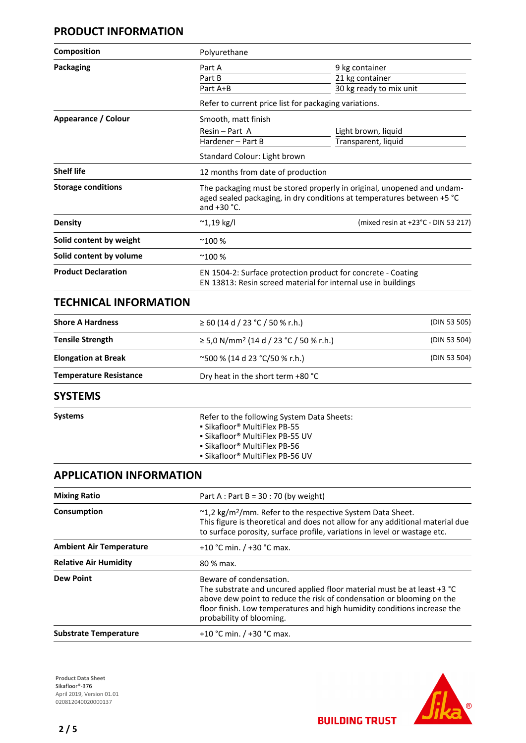# **PRODUCT INFORMATION**

| <b>Composition</b>         | Polyurethane                                          |                                                                                                                                                  |  |  |  |
|----------------------------|-------------------------------------------------------|--------------------------------------------------------------------------------------------------------------------------------------------------|--|--|--|
| <b>Packaging</b>           | Part A                                                | 9 kg container                                                                                                                                   |  |  |  |
|                            | Part B                                                | 21 kg container                                                                                                                                  |  |  |  |
|                            | Part A+B                                              | 30 kg ready to mix unit                                                                                                                          |  |  |  |
|                            | Refer to current price list for packaging variations. |                                                                                                                                                  |  |  |  |
| Appearance / Colour        | Smooth, matt finish                                   |                                                                                                                                                  |  |  |  |
|                            | Resin - Part A                                        | Light brown, liquid                                                                                                                              |  |  |  |
|                            | Hardener - Part B                                     | Transparent, liquid                                                                                                                              |  |  |  |
|                            | Standard Colour: Light brown                          |                                                                                                                                                  |  |  |  |
| <b>Shelf life</b>          |                                                       | 12 months from date of production                                                                                                                |  |  |  |
| <b>Storage conditions</b>  | and $+30$ °C.                                         | The packaging must be stored properly in original, unopened and undam-<br>aged sealed packaging, in dry conditions at temperatures between +5 °C |  |  |  |
| <b>Density</b>             | $^{\sim}$ 1,19 kg/l                                   | (mixed resin at +23°C - DIN 53 217)                                                                                                              |  |  |  |
| Solid content by weight    | $^{\sim}100%$                                         |                                                                                                                                                  |  |  |  |
| Solid content by volume    | $^{\sim}100%$                                         |                                                                                                                                                  |  |  |  |
| <b>Product Declaration</b> |                                                       | EN 1504-2: Surface protection product for concrete - Coating<br>EN 13813: Resin screed material for internal use in buildings                    |  |  |  |

### **TECHNICAL INFORMATION**

| <b>Shore A Hardness</b>       | $\geq 60$ (14 d / 23 °C / 50 % r.h.)                    | (DIN 53 505) |  |
|-------------------------------|---------------------------------------------------------|--------------|--|
| <b>Tensile Strength</b>       | $\geq$ 5,0 N/mm <sup>2</sup> (14 d / 23 °C / 50 % r.h.) | (DIN 53 504) |  |
| <b>Elongation at Break</b>    | $\sim$ 500 % (14 d 23 °C/50 % r.h.)                     | (DIN 53 504) |  |
| <b>Temperature Resistance</b> | Dry heat in the short term +80 °C                       |              |  |
| CVCTFRAC                      |                                                         |              |  |

### **SYSTEMS**

**Systems Refer to the following System Data Sheets:** ▪ Sikafloor® MultiFlex PB-55 ▪ Sikafloor® MultiFlex PB-55 UV ▪ Sikafloor® MultiFlex PB-56 ▪ Sikafloor® MultiFlex PB-56 UV

# **APPLICATION INFORMATION**

| <b>Mixing Ratio</b>            | Part A : Part B = $30:70$ (by weight)<br>~1,2 kg/m <sup>2</sup> /mm. Refer to the respective System Data Sheet.<br>This figure is theoretical and does not allow for any additional material due<br>to surface porosity, surface profile, variations in level or wastage etc.<br>+10 °C min. $/$ +30 °C max.<br>80 % max.<br>Beware of condensation.<br>The substrate and uncured applied floor material must be at least +3 °C<br>above dew point to reduce the risk of condensation or blooming on the<br>floor finish. Low temperatures and high humidity conditions increase the<br>probability of blooming. |  |  |
|--------------------------------|------------------------------------------------------------------------------------------------------------------------------------------------------------------------------------------------------------------------------------------------------------------------------------------------------------------------------------------------------------------------------------------------------------------------------------------------------------------------------------------------------------------------------------------------------------------------------------------------------------------|--|--|
| Consumption                    |                                                                                                                                                                                                                                                                                                                                                                                                                                                                                                                                                                                                                  |  |  |
| <b>Ambient Air Temperature</b> |                                                                                                                                                                                                                                                                                                                                                                                                                                                                                                                                                                                                                  |  |  |
| <b>Relative Air Humidity</b>   |                                                                                                                                                                                                                                                                                                                                                                                                                                                                                                                                                                                                                  |  |  |
| <b>Dew Point</b>               |                                                                                                                                                                                                                                                                                                                                                                                                                                                                                                                                                                                                                  |  |  |
| <b>Substrate Temperature</b>   | +10 °C min. $/$ +30 °C max.                                                                                                                                                                                                                                                                                                                                                                                                                                                                                                                                                                                      |  |  |

**Product Data Sheet** Sikafloor®-376 April 2019, Version 01.01 020812040020000137



**BUILDING TRUST**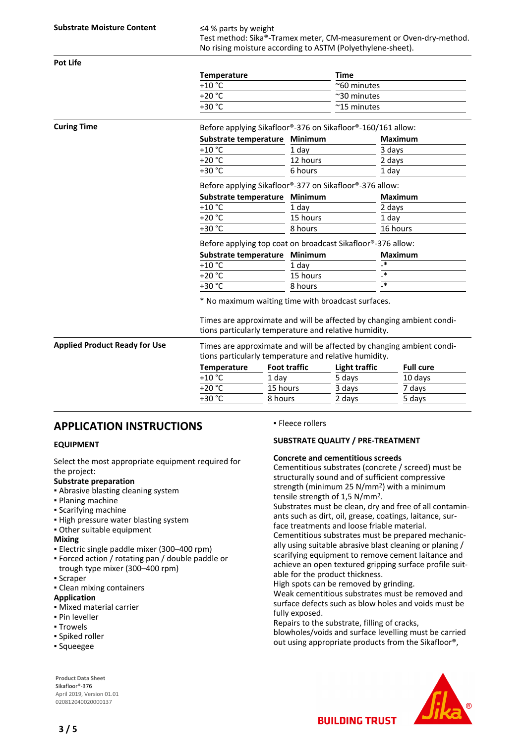Test method: Sika®-Tramex meter, CM-measurement or Oven-dry-method. No rising moisture according to ASTM (Polyethylene-sheet).

| <b>Pot Life</b>                      |                                                                                                                                |                     |                   |                                                            |                   |  |
|--------------------------------------|--------------------------------------------------------------------------------------------------------------------------------|---------------------|-------------------|------------------------------------------------------------|-------------------|--|
|                                      | <b>Temperature</b>                                                                                                             |                     |                   | <b>Time</b>                                                |                   |  |
|                                      | $+10$ °C                                                                                                                       |                     |                   | ~60 minutes<br>$~\sim$ 30 minutes<br>$~^{\sim}$ 15 minutes |                   |  |
|                                      | $+20 °C$                                                                                                                       |                     |                   |                                                            |                   |  |
|                                      | +30 °C                                                                                                                         |                     |                   |                                                            |                   |  |
| <b>Curing Time</b>                   | Before applying Sikafloor®-376 on Sikafloor®-160/161 allow:                                                                    |                     |                   |                                                            |                   |  |
|                                      | Substrate temperature                                                                                                          |                     | Minimum           |                                                            | <b>Maximum</b>    |  |
|                                      | $+10$ °C                                                                                                                       |                     | 1 day             |                                                            | 3 days            |  |
|                                      | $+20 °C$                                                                                                                       |                     | 12 hours          |                                                            | 2 days            |  |
|                                      | +30 °C                                                                                                                         |                     | 6 hours           |                                                            | 1 day             |  |
|                                      | Before applying Sikafloor®-377 on Sikafloor®-376 allow:                                                                        |                     |                   |                                                            |                   |  |
|                                      | Substrate temperature                                                                                                          |                     | Minimum           |                                                            | <b>Maximum</b>    |  |
|                                      | $+10$ °C                                                                                                                       |                     | 1 day             |                                                            | 2 days            |  |
|                                      | $+20 °C$                                                                                                                       |                     | 15 hours          |                                                            | 1 day             |  |
|                                      | +30 °C                                                                                                                         | 8 hours             |                   | 16 hours                                                   |                   |  |
|                                      | Before applying top coat on broadcast Sikafloor®-376 allow:                                                                    |                     |                   |                                                            |                   |  |
|                                      | Substrate temperature                                                                                                          |                     | Minimum           |                                                            | <b>Maximum</b>    |  |
|                                      | $+10$ °C                                                                                                                       |                     | 1 day             |                                                            | _∗                |  |
|                                      | $+20 °C$                                                                                                                       |                     | 15 hours          |                                                            | $_{\mathbf{-}}$ * |  |
|                                      | +30 °C<br>8 hours                                                                                                              |                     | $_{\mathbf{-}}$ * |                                                            |                   |  |
|                                      | * No maximum waiting time with broadcast surfaces.                                                                             |                     |                   |                                                            |                   |  |
|                                      | Times are approximate and will be affected by changing ambient condi-<br>tions particularly temperature and relative humidity. |                     |                   |                                                            |                   |  |
| <b>Applied Product Ready for Use</b> | Times are approximate and will be affected by changing ambient condi-<br>tions particularly temperature and relative humidity. |                     |                   |                                                            |                   |  |
|                                      | <b>Temperature</b>                                                                                                             | <b>Foot traffic</b> |                   | Light traffic                                              | <b>Full cure</b>  |  |
|                                      | $+10$ °C                                                                                                                       | 1 day               |                   | 5 days                                                     | 10 days           |  |
|                                      | $+20 °C$                                                                                                                       | 15 hours            |                   | 3 days                                                     | 7 days            |  |
|                                      | +30 °C                                                                                                                         | 8 hours             |                   | 2 days                                                     | 5 days            |  |

### **APPLICATION INSTRUCTIONS**

#### **EQUIPMENT**

Select the most appropriate equipment required for the project:

#### **Substrate preparation**

- **Abrasive blasting cleaning system**
- Planing machine
- Scarifying machine
- **.** High pressure water blasting system
- Other suitable equipment

#### **Mixing**

- Electric single paddle mixer (300–400 rpm)
- Forced action / rotating pan / double paddle or trough type mixer (300–400 rpm)
- Scraper
- Clean mixing containers

#### **Application**

- Mixed material carrier
- Pin leveller
- Trowels
- Spiked roller
- Squeegee

**Product Data Sheet** Sikafloor®-376 April 2019, Version 01.01 020812040020000137

▪ Fleece rollers

#### **SUBSTRATE QUALITY / PRE-TREATMENT**

#### **Concrete and cementitious screeds**

Cementitious substrates (concrete / screed) must be structurally sound and of sufficient compressive strength (minimum 25 N/mm2) with a minimum tensile strength of 1,5 N/mm2.

Substrates must be clean, dry and free of all contaminants such as dirt, oil, grease, coatings, laitance, surface treatments and loose friable material.

Cementitious substrates must be prepared mechanically using suitable abrasive blast cleaning or planing / scarifying equipment to remove cement laitance and achieve an open textured gripping surface profile suitable for the product thickness.

High spots can be removed by grinding.

Weak cementitious substrates must be removed and surface defects such as blow holes and voids must be fully exposed.

Repairs to the substrate, filling of cracks,

blowholes/voids and surface levelling must be carried out using appropriate products from the Sikafloor®,

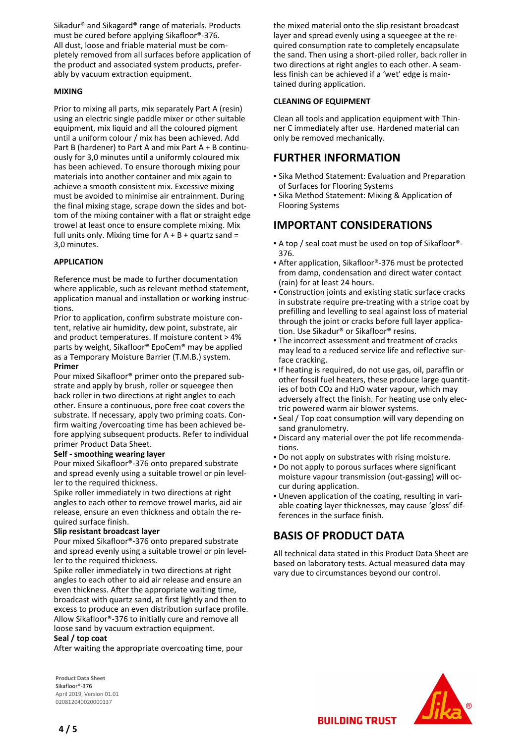Sikadur® and Sikagard® range of materials. Products must be cured before applying Sikafloor®-376. All dust, loose and friable material must be completely removed from all surfaces before application of the product and associated system products, preferably by vacuum extraction equipment.

#### **MIXING**

Prior to mixing all parts, mix separately Part A (resin) using an electric single paddle mixer or other suitable equipment, mix liquid and all the coloured pigment until a uniform colour / mix has been achieved. Add Part B (hardener) to Part A and mix Part A + B continuously for 3,0 minutes until a uniformly coloured mix has been achieved. To ensure thorough mixing pour materials into another container and mix again to achieve a smooth consistent mix. Excessive mixing must be avoided to minimise air entrainment. During the final mixing stage, scrape down the sides and bottom of the mixing container with a flat or straight edge trowel at least once to ensure complete mixing. Mix full units only. Mixing time for  $A + B +$  quartz sand = 3,0 minutes.

#### **APPLICATION**

Reference must be made to further documentation where applicable, such as relevant method statement, application manual and installation or working instructions.

Prior to application, confirm substrate moisture content, relative air humidity, dew point, substrate, air and product temperatures. If moisture content > 4% parts by weight, Sikafloor® EpoCem® may be applied as a Temporary Moisture Barrier (T.M.B.) system. **Primer**

Pour mixed Sikafloor® primer onto the prepared substrate and apply by brush, roller or squeegee then back roller in two directions at right angles to each other. Ensure a continuous, pore free coat covers the substrate. If necessary, apply two priming coats. Confirm waiting /overcoating time has been achieved before applying subsequent products. Refer to individual primer Product Data Sheet.

#### **Self - smoothing wearing layer**

Pour mixed Sikafloor®-376 onto prepared substrate and spread evenly using a suitable trowel or pin leveller to the required thickness.

Spike roller immediately in two directions at right angles to each other to remove trowel marks, aid air release, ensure an even thickness and obtain the required surface finish.

#### **Slip resistant broadcast layer**

Pour mixed Sikafloor®-376 onto prepared substrate and spread evenly using a suitable trowel or pin leveller to the required thickness.

Spike roller immediately in two directions at right angles to each other to aid air release and ensure an even thickness. After the appropriate waiting time, broadcast with quartz sand, at first lightly and then to excess to produce an even distribution surface profile. Allow Sikafloor®-376 to initially cure and remove all loose sand by vacuum extraction equipment.

#### **Seal / top coat**

After waiting the appropriate overcoating time, pour

**Product Data Sheet** Sikafloor®-376 April 2019, Version 01.01 020812040020000137

the mixed material onto the slip resistant broadcast layer and spread evenly using a squeegee at the required consumption rate to completely encapsulate the sand. Then using a short-piled roller, back roller in two directions at right angles to each other. A seamless finish can be achieved if a 'wet' edge is maintained during application.

#### **CLEANING OF EQUIPMENT**

Clean all tools and application equipment with Thinner C immediately after use. Hardened material can only be removed mechanically.

### **FURTHER INFORMATION**

- **Sika Method Statement: Evaluation and Preparation** of Surfaces for Flooring Systems
- Sika Method Statement: Mixing & Application of Flooring Systems

### **IMPORTANT CONSIDERATIONS**

- A top / seal coat must be used on top of Sikafloor®- 376.
- After application, Sikafloor®-376 must be protected from damp, condensation and direct water contact (rain) for at least 24 hours.
- Construction joints and existing static surface cracks in substrate require pre-treating with a stripe coat by prefilling and levelling to seal against loss of material through the joint or cracks before full layer application. Use Sikadur® or Sikafloor® resins.
- **The incorrect assessment and treatment of cracks** may lead to a reduced service life and reflective surface cracking.
- **.** If heating is required, do not use gas, oil, paraffin or other fossil fuel heaters, these produce large quantities of both CO2 and H2O water vapour, which may adversely affect the finish. For heating use only electric powered warm air blower systems.
- Seal / Top coat consumption will vary depending on sand granulometry.
- Discard any material over the pot life recommenda-▪ tions.
- Do not apply on substrates with rising moisture.
- **Do not apply to porous surfaces where significant** moisture vapour transmission (out-gassing) will occur during application.
- Uneven application of the coating, resulting in vari-▪ able coating layer thicknesses, may cause 'gloss' differences in the surface finish.

# **BASIS OF PRODUCT DATA**

All technical data stated in this Product Data Sheet are based on laboratory tests. Actual measured data may vary due to circumstances beyond our control.